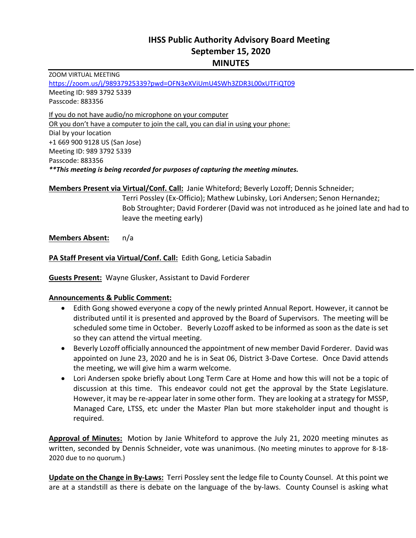# **IHSS Public Authority Advisory Board Meeting September 15, 2020 MINUTES**

ZOOM VIRTUAL MEETING https://zoom.us/j/98937925339?pwd=OFN3eXViUmU4SWh3ZDR3L00xUTFiQT09 Meeting ID: 989 3792 5339 Passcode: 883356 If you do not have audio/no microphone on your computer OR you don't have a computer to join the call, you can dial in using your phone: Dial by your location +1 669 900 9128 US (San Jose) Meeting ID: 989 3792 5339 Passcode: 883356

*\*\*This meeting is being recorded for purposes of capturing the meeting minutes.* 

**Members Present via Virtual/Conf. Call:** Janie Whiteford; Beverly Lozoff; Dennis Schneider;

Terri Possley (Ex-Officio); Mathew Lubinsky, Lori Andersen; Senon Hernandez; Bob Stroughter; David Forderer (David was not introduced as he joined late and had to leave the meeting early)

**Members Absent:**  n/a

PA Staff Present via Virtual/Conf. Call: Edith Gong, Leticia Sabadin

**Guests Present:** Wayne Glusker, Assistant to David Forderer

#### **Announcements & Public Comment:**

- Edith Gong showed everyone a copy of the newly printed Annual Report. However, it cannot be distributed until it is presented and approved by the Board of Supervisors. The meeting will be scheduled some time in October. Beverly Lozoff asked to be informed as soon as the date is set so they can attend the virtual meeting.
- Beverly Lozoff officially announced the appointment of new member David Forderer. David was appointed on June 23, 2020 and he is in Seat 06, District 3‐Dave Cortese. Once David attends the meeting, we will give him a warm welcome.
- Lori Andersen spoke briefly about Long Term Care at Home and how this will not be a topic of discussion at this time. This endeavor could not get the approval by the State Legislature. However, it may be re‐appear later in some other form. They are looking at a strategy for MSSP, Managed Care, LTSS, etc under the Master Plan but more stakeholder input and thought is required.

**Approval of Minutes:** Motion by Janie Whiteford to approve the July 21, 2020 meeting minutes as written, seconded by Dennis Schneider, vote was unanimous. (No meeting minutes to approve for 8‐18‐ 2020 due to no quorum.)

**Update on the Change in By-Laws:** Terri Possley sent the ledge file to County Counsel. At this point we are at a standstill as there is debate on the language of the by-laws. County Counsel is asking what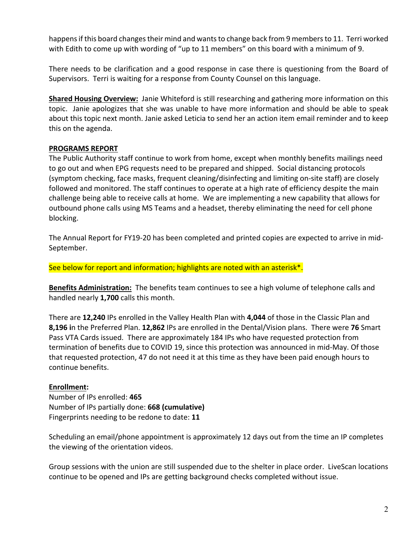happens if this board changes their mind and wants to change back from 9 members to 11. Terri worked with Edith to come up with wording of "up to 11 members" on this board with a minimum of 9.

There needs to be clarification and a good response in case there is questioning from the Board of Supervisors. Terri is waiting for a response from County Counsel on this language.

**Shared Housing Overview:** Janie Whiteford is still researching and gathering more information on this topic. Janie apologizes that she was unable to have more information and should be able to speak about this topic next month. Janie asked Leticia to send her an action item email reminder and to keep this on the agenda.

### **PROGRAMS REPORT**

The Public Authority staff continue to work from home, except when monthly benefits mailings need to go out and when EPG requests need to be prepared and shipped. Social distancing protocols (symptom checking, face masks, frequent cleaning/disinfecting and limiting on‐site staff) are closely followed and monitored. The staff continues to operate at a high rate of efficiency despite the main challenge being able to receive calls at home. We are implementing a new capability that allows for outbound phone calls using MS Teams and a headset, thereby eliminating the need for cell phone blocking.

The Annual Report for FY19‐20 has been completed and printed copies are expected to arrive in mid‐ September.

See below for report and information; highlights are noted with an asterisk<sup>\*</sup>.

**Benefits Administration:** The benefits team continues to see a high volume of telephone calls and handled nearly **1,700** calls this month.

There are **12,240** IPs enrolled in the Valley Health Plan with **4,044** of those in the Classic Plan and **8,196 i**n the Preferred Plan. **12,862** IPs are enrolled in the Dental/Vision plans. There were **76** Smart Pass VTA Cards issued. There are approximately 184 IPs who have requested protection from termination of benefits due to COVID 19, since this protection was announced in mid‐May. Of those that requested protection, 47 do not need it at this time as they have been paid enough hours to continue benefits.

### **Enrollment:**

Number of IPs enrolled: **465**  Number of IPs partially done: **668 (cumulative)** Fingerprints needing to be redone to date: **11** 

Scheduling an email/phone appointment is approximately 12 days out from the time an IP completes the viewing of the orientation videos.

Group sessions with the union are still suspended due to the shelter in place order. LiveScan locations continue to be opened and IPs are getting background checks completed without issue.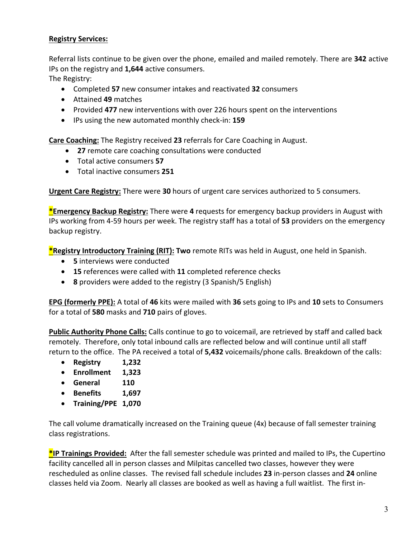### **Registry Services:**

Referral lists continue to be given over the phone, emailed and mailed remotely. There are **342** active IPs on the registry and **1,644** active consumers.

The Registry:

- Completed **57** new consumer intakes and reactivated **32** consumers
- Attained **49** matches
- Provided **477** new interventions with over 226 hours spent on the interventions
- IPs using the new automated monthly check‐in: **159**

**Care Coaching:** The Registry received **23** referrals for Care Coaching in August.

- **27** remote care coaching consultations were conducted
- Total active consumers **57**
- Total inactive consumers **251**

**Urgent Care Registry:** There were **30** hours of urgent care services authorized to 5 consumers.

**\*Emergency Backup Registry:** There were **4** requests for emergency backup providers in August with IPs working from 4‐59 hours per week. The registry staff has a total of **53** providers on the emergency backup registry.

**\*Registry Introductory Training (RIT): Two** remote RITs was held in August, one held in Spanish.

- **5** interviews were conducted
- **15** references were called with **11** completed reference checks
- **8** providers were added to the registry (3 Spanish/5 English)

**EPG (formerly PPE):** A total of **46** kits were mailed with **36** sets going to IPs and **10** sets to Consumers for a total of **580** masks and **710** pairs of gloves.

**Public Authority Phone Calls:** Calls continue to go to voicemail, are retrieved by staff and called back remotely. Therefore, only total inbound calls are reflected below and will continue until all staff return to the office. The PA received a total of **5,432** voicemails/phone calls. Breakdown of the calls:

- **Registry 1,232**
- **Enrollment 1,323**
- **General 110**
- **Benefits 1,697**
- **Training/PPE 1,070**

The call volume dramatically increased on the Training queue (4x) because of fall semester training class registrations.

**\*IP Trainings Provided:** After the fall semester schedule was printed and mailed to IPs, the Cupertino facility cancelled all in person classes and Milpitas cancelled two classes, however they were rescheduled as online classes. The revised fall schedule includes **23** in‐person classes and **24** online classes held via Zoom. Nearly all classes are booked as well as having a full waitlist. The first in‐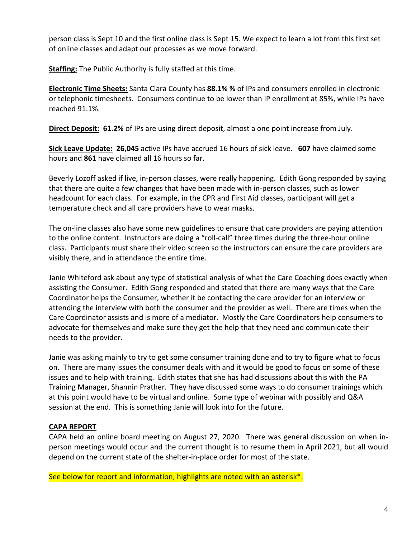person class is Sept 10 and the first online class is Sept 15. We expect to learn a lot from this first set of online classes and adapt our processes as we move forward.

**Staffing:** The Public Authority is fully staffed at this time.

**Electronic Time Sheets:** Santa Clara County has **88.1% %** of IPs and consumers enrolled in electronic or telephonic timesheets. Consumers continue to be lower than IP enrollment at 85%, while IPs have reached 91.1%.

**Direct Deposit: 61.2%** of IPs are using direct deposit, almost a one point increase from July.

**Sick Leave Update: 26,045** active IPs have accrued 16 hours of sick leave. **607** have claimed some hours and **861** have claimed all 16 hours so far.

Beverly Lozoff asked if live, in‐person classes, were really happening. Edith Gong responded by saying that there are quite a few changes that have been made with in‐person classes, such as lower headcount for each class. For example, in the CPR and First Aid classes, participant will get a temperature check and all care providers have to wear masks.

The on-line classes also have some new guidelines to ensure that care providers are paying attention to the online content. Instructors are doing a "roll-call" three times during the three-hour online class. Participants must share their video screen so the instructors can ensure the care providers are visibly there, and in attendance the entire time.

Janie Whiteford ask about any type of statistical analysis of what the Care Coaching does exactly when assisting the Consumer. Edith Gong responded and stated that there are many ways that the Care Coordinator helps the Consumer, whether it be contacting the care provider for an interview or attending the interview with both the consumer and the provider as well. There are times when the Care Coordinator assists and is more of a mediator. Mostly the Care Coordinators help consumers to advocate for themselves and make sure they get the help that they need and communicate their needs to the provider.

Janie was asking mainly to try to get some consumer training done and to try to figure what to focus on. There are many issues the consumer deals with and it would be good to focus on some of these issues and to help with training. Edith states that she has had discussions about this with the PA Training Manager, Shannin Prather. They have discussed some ways to do consumer trainings which at this point would have to be virtual and online. Some type of webinar with possibly and Q&A session at the end. This is something Janie will look into for the future.

## **CAPA REPORT**

CAPA held an online board meeting on August 27, 2020. There was general discussion on when in‐ person meetings would occur and the current thought is to resume them in April 2021, but all would depend on the current state of the shelter-in-place order for most of the state.

See below for report and information; highlights are noted with an asterisk<sup>\*</sup>.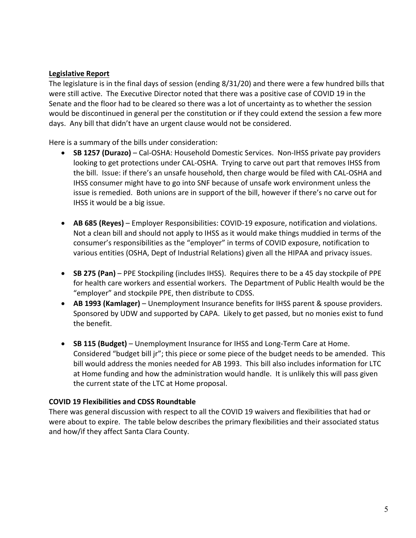#### **Legislative Report**

The legislature is in the final days of session (ending 8/31/20) and there were a few hundred bills that were still active. The Executive Director noted that there was a positive case of COVID 19 in the Senate and the floor had to be cleared so there was a lot of uncertainty as to whether the session would be discontinued in general per the constitution or if they could extend the session a few more days. Any bill that didn't have an urgent clause would not be considered.

Here is a summary of the bills under consideration:

- SB 1257 (Durazo) Cal-OSHA: Household Domestic Services. Non-IHSS private pay providers looking to get protections under CAL‐OSHA. Trying to carve out part that removes IHSS from the bill. Issue: if there's an unsafe household, then charge would be filed with CAL‐OSHA and IHSS consumer might have to go into SNF because of unsafe work environment unless the issue is remedied. Both unions are in support of the bill, however if there's no carve out for IHSS it would be a big issue.
- **AB 685 (Reyes)** Employer Responsibilities: COVID‐19 exposure, notification and violations. Not a clean bill and should not apply to IHSS as it would make things muddied in terms of the consumer's responsibilities as the "employer" in terms of COVID exposure, notification to various entities (OSHA, Dept of Industrial Relations) given all the HIPAA and privacy issues.
- **SB 275 (Pan)** PPE Stockpiling (includes IHSS). Requires there to be a 45 day stockpile of PPE for health care workers and essential workers. The Department of Public Health would be the "employer" and stockpile PPE, then distribute to CDSS.
- **AB 1993 (Kamlager)** Unemployment Insurance benefits for IHSS parent & spouse providers. Sponsored by UDW and supported by CAPA. Likely to get passed, but no monies exist to fund the benefit.
- **SB 115 (Budget)** Unemployment Insurance for IHSS and Long‐Term Care at Home. Considered "budget bill jr"; this piece or some piece of the budget needs to be amended. This bill would address the monies needed for AB 1993. This bill also includes information for LTC at Home funding and how the administration would handle. It is unlikely this will pass given the current state of the LTC at Home proposal.

### **COVID 19 Flexibilities and CDSS Roundtable**

There was general discussion with respect to all the COVID 19 waivers and flexibilities that had or were about to expire. The table below describes the primary flexibilities and their associated status and how/if they affect Santa Clara County.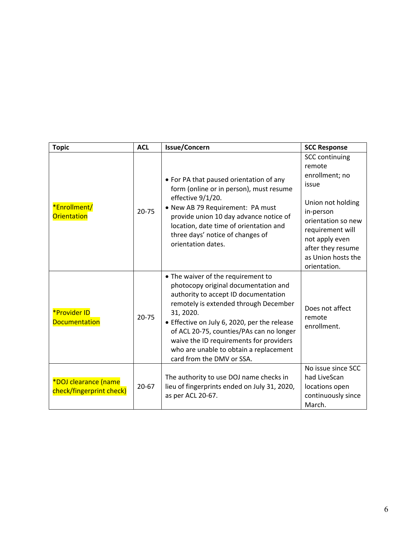| <b>Topic</b>                                     | <b>ACL</b> | <b>Issue/Concern</b>                                                                                                                                                                                                                                                                                                                                                                   | <b>SCC Response</b>                                                                                                                                                                                                 |
|--------------------------------------------------|------------|----------------------------------------------------------------------------------------------------------------------------------------------------------------------------------------------------------------------------------------------------------------------------------------------------------------------------------------------------------------------------------------|---------------------------------------------------------------------------------------------------------------------------------------------------------------------------------------------------------------------|
| *Enrollment/<br>Orientation                      | $20 - 75$  | • For PA that paused orientation of any<br>form (online or in person), must resume<br>effective 9/1/20.<br>• New AB 79 Requirement: PA must<br>provide union 10 day advance notice of<br>location, date time of orientation and<br>three days' notice of changes of<br>orientation dates.                                                                                              | <b>SCC continuing</b><br>remote<br>enrollment; no<br>issue<br>Union not holding<br>in-person<br>orientation so new<br>requirement will<br>not apply even<br>after they resume<br>as Union hosts the<br>orientation. |
| <b>*Provider ID</b><br><b>Documentation</b>      | $20 - 75$  | • The waiver of the requirement to<br>photocopy original documentation and<br>authority to accept ID documentation<br>remotely is extended through December<br>31, 2020.<br>• Effective on July 6, 2020, per the release<br>of ACL 20-75, counties/PAs can no longer<br>waive the ID requirements for providers<br>who are unable to obtain a replacement<br>card from the DMV or SSA. | Does not affect<br>remote<br>enrollment.                                                                                                                                                                            |
| *DOJ clearance (name<br>check/fingerprint check) | $20 - 67$  | The authority to use DOJ name checks in<br>lieu of fingerprints ended on July 31, 2020,<br>as per ACL 20-67.                                                                                                                                                                                                                                                                           | No issue since SCC<br>had LiveScan<br>locations open<br>continuously since<br>March.                                                                                                                                |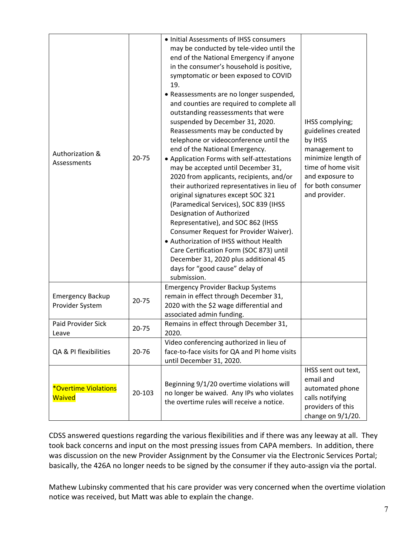| Authorization &<br>Assessments                      | 20-75  | • Initial Assessments of IHSS consumers<br>may be conducted by tele-video until the<br>end of the National Emergency if anyone<br>in the consumer's household is positive,<br>symptomatic or been exposed to COVID<br>19.<br>• Reassessments are no longer suspended,<br>and counties are required to complete all<br>outstanding reassessments that were<br>suspended by December 31, 2020.<br>Reassessments may be conducted by<br>telephone or videoconference until the<br>end of the National Emergency.<br>• Application Forms with self-attestations<br>may be accepted until December 31,<br>2020 from applicants, recipients, and/or<br>their authorized representatives in lieu of<br>original signatures except SOC 321<br>(Paramedical Services), SOC 839 (IHSS<br>Designation of Authorized<br>Representative), and SOC 862 (IHSS<br>Consumer Request for Provider Waiver).<br>• Authorization of IHSS without Health<br>Care Certification Form (SOC 873) until<br>December 31, 2020 plus additional 45<br>days for "good cause" delay of<br>submission. | IHSS complying;<br>guidelines created<br>by IHSS<br>management to<br>minimize length of<br>time of home visit<br>and exposure to<br>for both consumer<br>and provider. |
|-----------------------------------------------------|--------|------------------------------------------------------------------------------------------------------------------------------------------------------------------------------------------------------------------------------------------------------------------------------------------------------------------------------------------------------------------------------------------------------------------------------------------------------------------------------------------------------------------------------------------------------------------------------------------------------------------------------------------------------------------------------------------------------------------------------------------------------------------------------------------------------------------------------------------------------------------------------------------------------------------------------------------------------------------------------------------------------------------------------------------------------------------------|------------------------------------------------------------------------------------------------------------------------------------------------------------------------|
| <b>Emergency Backup</b><br>Provider System          | 20-75  | <b>Emergency Provider Backup Systems</b><br>remain in effect through December 31,<br>2020 with the \$2 wage differential and<br>associated admin funding.                                                                                                                                                                                                                                                                                                                                                                                                                                                                                                                                                                                                                                                                                                                                                                                                                                                                                                              |                                                                                                                                                                        |
| <b>Paid Provider Sick</b><br>Leave                  | 20-75  | Remains in effect through December 31,<br>2020.                                                                                                                                                                                                                                                                                                                                                                                                                                                                                                                                                                                                                                                                                                                                                                                                                                                                                                                                                                                                                        |                                                                                                                                                                        |
| QA & PI flexibilities                               | 20-76  | Video conferencing authorized in lieu of<br>face-to-face visits for QA and PI home visits<br>until December 31, 2020.                                                                                                                                                                                                                                                                                                                                                                                                                                                                                                                                                                                                                                                                                                                                                                                                                                                                                                                                                  |                                                                                                                                                                        |
| <i><b>*Overtime Violations</b></i><br><b>Waived</b> | 20-103 | Beginning 9/1/20 overtime violations will<br>no longer be waived. Any IPs who violates<br>the overtime rules will receive a notice.                                                                                                                                                                                                                                                                                                                                                                                                                                                                                                                                                                                                                                                                                                                                                                                                                                                                                                                                    | IHSS sent out text,<br>email and<br>automated phone<br>calls notifying<br>providers of this<br>change on $9/1/20$ .                                                    |

CDSS answered questions regarding the various flexibilities and if there was any leeway at all. They took back concerns and input on the most pressing issues from CAPA members. In addition, there was discussion on the new Provider Assignment by the Consumer via the Electronic Services Portal; basically, the 426A no longer needs to be signed by the consumer if they auto-assign via the portal.

Mathew Lubinsky commented that his care provider was very concerned when the overtime violation notice was received, but Matt was able to explain the change.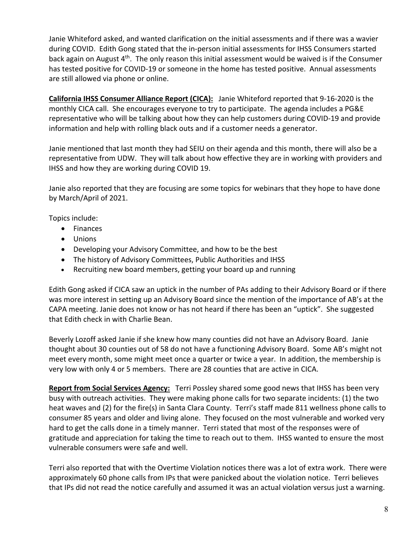Janie Whiteford asked, and wanted clarification on the initial assessments and if there was a wavier during COVID. Edith Gong stated that the in‐person initial assessments for IHSS Consumers started back again on August 4th. The only reason this initial assessment would be waived is if the Consumer has tested positive for COVID-19 or someone in the home has tested positive. Annual assessments are still allowed via phone or online.

**California IHSS Consumer Alliance Report (CICA):** Janie Whiteford reported that 9‐16‐2020 is the monthly CICA call. She encourages everyone to try to participate. The agenda includes a PG&E representative who will be talking about how they can help customers during COVID‐19 and provide information and help with rolling black outs and if a customer needs a generator.

Janie mentioned that last month they had SEIU on their agenda and this month, there will also be a representative from UDW. They will talk about how effective they are in working with providers and IHSS and how they are working during COVID 19.

Janie also reported that they are focusing are some topics for webinars that they hope to have done by March/April of 2021.

Topics include:

- Finances
- Unions
- Developing your Advisory Committee, and how to be the best
- The history of Advisory Committees, Public Authorities and IHSS
- Recruiting new board members, getting your board up and running

Edith Gong asked if CICA saw an uptick in the number of PAs adding to their Advisory Board or if there was more interest in setting up an Advisory Board since the mention of the importance of AB's at the CAPA meeting. Janie does not know or has not heard if there has been an "uptick". She suggested that Edith check in with Charlie Bean.

Beverly Lozoff asked Janie if she knew how many counties did not have an Advisory Board. Janie thought about 30 counties out of 58 do not have a functioning Advisory Board. Some AB's might not meet every month, some might meet once a quarter or twice a year. In addition, the membership is very low with only 4 or 5 members. There are 28 counties that are active in CICA.

**Report from Social Services Agency:** Terri Possley shared some good news that IHSS has been very busy with outreach activities. They were making phone calls for two separate incidents: (1) the two heat waves and (2) for the fire(s) in Santa Clara County. Terri's staff made 811 wellness phone calls to consumer 85 years and older and living alone. They focused on the most vulnerable and worked very hard to get the calls done in a timely manner. Terri stated that most of the responses were of gratitude and appreciation for taking the time to reach out to them. IHSS wanted to ensure the most vulnerable consumers were safe and well.

Terri also reported that with the Overtime Violation notices there was a lot of extra work. There were approximately 60 phone calls from IPs that were panicked about the violation notice. Terri believes that IPs did not read the notice carefully and assumed it was an actual violation versus just a warning.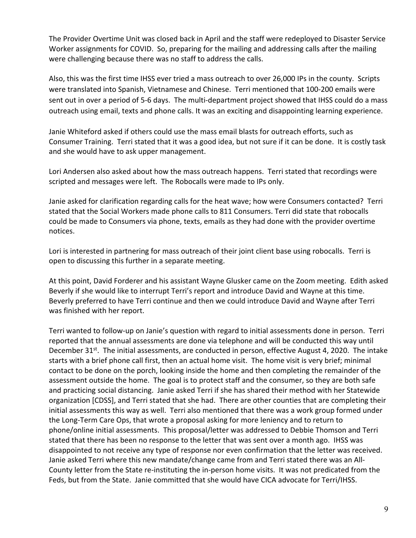The Provider Overtime Unit was closed back in April and the staff were redeployed to Disaster Service Worker assignments for COVID. So, preparing for the mailing and addressing calls after the mailing were challenging because there was no staff to address the calls.

Also, this was the first time IHSS ever tried a mass outreach to over 26,000 IPs in the county. Scripts were translated into Spanish, Vietnamese and Chinese. Terri mentioned that 100‐200 emails were sent out in over a period of 5-6 days. The multi-department project showed that IHSS could do a mass outreach using email, texts and phone calls. It was an exciting and disappointing learning experience.

Janie Whiteford asked if others could use the mass email blasts for outreach efforts, such as Consumer Training. Terri stated that it was a good idea, but not sure if it can be done. It is costly task and she would have to ask upper management.

Lori Andersen also asked about how the mass outreach happens. Terri stated that recordings were scripted and messages were left. The Robocalls were made to IPs only.

Janie asked for clarification regarding calls for the heat wave; how were Consumers contacted? Terri stated that the Social Workers made phone calls to 811 Consumers. Terri did state that robocalls could be made to Consumers via phone, texts, emails as they had done with the provider overtime notices.

Lori is interested in partnering for mass outreach of their joint client base using robocalls. Terri is open to discussing this further in a separate meeting.

At this point, David Forderer and his assistant Wayne Glusker came on the Zoom meeting. Edith asked Beverly if she would like to interrupt Terri's report and introduce David and Wayne at this time. Beverly preferred to have Terri continue and then we could introduce David and Wayne after Terri was finished with her report.

Terri wanted to follow‐up on Janie's question with regard to initial assessments done in person. Terri reported that the annual assessments are done via telephone and will be conducted this way until December 31<sup>st</sup>. The initial assessments, are conducted in person, effective August 4, 2020. The intake starts with a brief phone call first, then an actual home visit. The home visit is very brief; minimal contact to be done on the porch, looking inside the home and then completing the remainder of the assessment outside the home. The goal is to protect staff and the consumer, so they are both safe and practicing social distancing. Janie asked Terri if she has shared their method with her Statewide organization [CDSS], and Terri stated that she had. There are other counties that are completing their initial assessments this way as well. Terri also mentioned that there was a work group formed under the Long‐Term Care Ops, that wrote a proposal asking for more leniency and to return to phone/online initial assessments. This proposal/letter was addressed to Debbie Thomson and Terri stated that there has been no response to the letter that was sent over a month ago. IHSS was disappointed to not receive any type of response nor even confirmation that the letter was received. Janie asked Terri where this new mandate/change came from and Terri stated there was an All‐ County letter from the State re‐instituting the in‐person home visits. It was not predicated from the Feds, but from the State. Janie committed that she would have CICA advocate for Terri/IHSS.